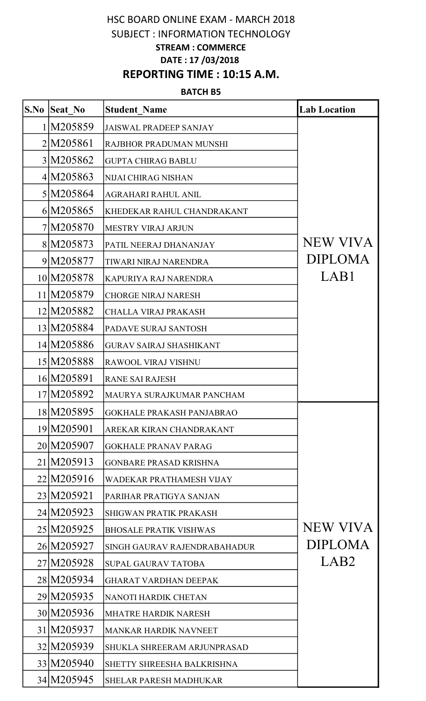## HSC BOARD ONLINE EXAM - MARCH 2018 SUBJECT : INFORMATION TECHNOLOGY STREAM : COMMERCE DATE : 17 /03/2018 REPORTING TIME : 10:15 A.M.

## BATCH B5

| S.No | <b>Seat No</b> | <b>Student Name</b>            | <b>Lab Location</b> |
|------|----------------|--------------------------------|---------------------|
|      | 1 M205859      | <b>JAISWAL PRADEEP SANJAY</b>  |                     |
|      | 2M205861       | RAJBHOR PRADUMAN MUNSHI        |                     |
|      | 3 M205862      | <b>GUPTA CHIRAG BABLU</b>      |                     |
|      | 4M205863       | NIJAI CHIRAG NISHAN            |                     |
|      | 5 M205864      | AGRAHARI RAHUL ANIL            |                     |
|      | 6 M205865      | KHEDEKAR RAHUL CHANDRAKANT     |                     |
|      | 7 M205870      | <b>MESTRY VIRAJ ARJUN</b>      |                     |
|      | 8 M205873      | PATIL NEERAJ DHANANJAY         | <b>NEW VIVA</b>     |
|      | 9M205877       | TIWARI NIRAJ NARENDRA          | <b>DIPLOMA</b>      |
|      | 10 M205878     | KAPURIYA RAJ NARENDRA          | LAB1                |
|      | 11 M205879     | <b>CHORGE NIRAJ NARESH</b>     |                     |
|      | 12 M205882     | <b>CHALLA VIRAJ PRAKASH</b>    |                     |
|      | 13 M205884     | PADAVE SURAJ SANTOSH           |                     |
|      | 14 M205886     | <b>GURAV SAIRAJ SHASHIKANT</b> |                     |
|      | 15 M205888     | RAWOOL VIRAJ VISHNU            |                     |
|      | 16 M205891     | <b>RANE SAI RAJESH</b>         |                     |
|      | 17 M205892     | MAURYA SURAJKUMAR PANCHAM      |                     |
|      | 18 M205895     | GOKHALE PRAKASH PANJABRAO      |                     |
|      | 19 M205901     | AREKAR KIRAN CHANDRAKANT       |                     |
|      | 20 M205907     | <b>GOKHALE PRANAV PARAG</b>    |                     |
|      | 21 M205913     | <b>GONBARE PRASAD KRISHNA</b>  |                     |
|      | 22 M205916     | WADEKAR PRATHAMESH VIJAY       |                     |
|      | 23 M205921     | PARIHAR PRATIGYA SANJAN        |                     |
|      | 24 M205923     | <b>SHIGWAN PRATIK PRAKASH</b>  |                     |
|      | 25 M205925     | <b>BHOSALE PRATIK VISHWAS</b>  | <b>NEW VIVA</b>     |
|      | 26 M205927     | SINGH GAURAV RAJENDRABAHADUR   | <b>DIPLOMA</b>      |
|      | 27 M205928     | <b>SUPAL GAURAV TATOBA</b>     | LAB <sub>2</sub>    |
|      | 28 M 2059 34   | <b>GHARAT VARDHAN DEEPAK</b>   |                     |
|      | 29 M205935     | NANOTI HARDIK CHETAN           |                     |
|      | 30 M205936     | <b>MHATRE HARDIK NARESH</b>    |                     |
|      | 31 M205937     | <b>MANKAR HARDIK NAVNEET</b>   |                     |
|      | 32 M205939     | SHUKLA SHREERAM ARJUNPRASAD    |                     |
|      | 33 M205940     | SHETTY SHREESHA BALKRISHNA     |                     |
|      | 34 M205945     | <b>SHELAR PARESH MADHUKAR</b>  |                     |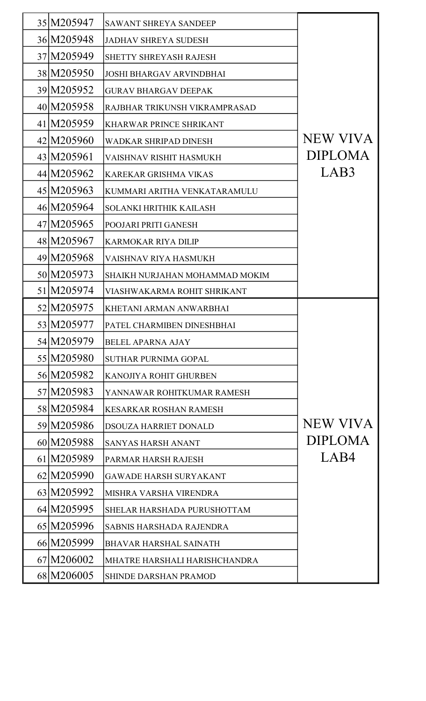| 35 M205947 | <b>SAWANT SHREYA SANDEEP</b>       |                 |
|------------|------------------------------------|-----------------|
| 36 M205948 | <b>JADHAV SHREYA SUDESH</b>        |                 |
| 37 M205949 | <b>SHETTY SHREYASH RAJESH</b>      |                 |
| 38 M205950 | <b>JOSHI BHARGAV ARVINDBHAI</b>    |                 |
| 39 M205952 | <b>GURAV BHARGAV DEEPAK</b>        |                 |
| 40 M205958 | RAJBHAR TRIKUNSH VIKRAMPRASAD      |                 |
| 41 M205959 | <b>KHARWAR PRINCE SHRIKANT</b>     |                 |
| 42 M205960 | <b>WADKAR SHRIPAD DINESH</b>       | <b>NEW VIVA</b> |
| 43 M205961 | VAISHNAV RISHIT HASMUKH            | <b>DIPLOMA</b>  |
| 44 M205962 | <b>KAREKAR GRISHMA VIKAS</b>       | LAB3            |
| 45 M205963 | KUMMARI ARITHA VENKATARAMULU       |                 |
| 46 M205964 | <b>SOLANKI HRITHIK KAILASH</b>     |                 |
| 47 M205965 | POOJARI PRITI GANESH               |                 |
| 48 M205967 | <b>KARMOKAR RIYA DILIP</b>         |                 |
| 49 M205968 | VAISHNAV RIYA HASMUKH              |                 |
| 50 M205973 | SHAIKH NURJAHAN MOHAMMAD MOKIM     |                 |
| 51 M205974 | VIASHWAKARMA ROHIT SHRIKANT        |                 |
| 52 M205975 | KHETANI ARMAN ANWARBHAI            |                 |
| 53 M205977 | PATEL CHARMIBEN DINESHBHAI         |                 |
| 54 M205979 | <b>BELEL APARNA AJAY</b>           |                 |
| 55 M205980 | <b>SUTHAR PURNIMA GOPAL</b>        |                 |
| 56 M205982 | <b>KANOJIYA ROHIT GHURBEN</b>      |                 |
| 57 M205983 | YANNAWAR ROHITKUMAR RAMESH         |                 |
| 58 M205984 | <b>KESARKAR ROSHAN RAMESH</b>      |                 |
| 59 M205986 | <b>DSOUZA HARRIET DONALD</b>       | NEW VIVA        |
| 60 M205988 | <b>SANYAS HARSH ANANT</b>          | <b>DIPLOMA</b>  |
| 61 M205989 | PARMAR HARSH RAJESH                | LAB4            |
| 62 M205990 | <b>GAWADE HARSH SURYAKANT</b>      |                 |
| 63 M205992 | MISHRA VARSHA VIRENDRA             |                 |
| 64 M205995 | <b>SHELAR HARSHADA PURUSHOTTAM</b> |                 |
| 65 M205996 | <b>SABNIS HARSHADA RAJENDRA</b>    |                 |
|            |                                    |                 |
| 66 M205999 | <b>BHAVAR HARSHAL SAINATH</b>      |                 |
| 67 M206002 | MHATRE HARSHALI HARISHCHANDRA      |                 |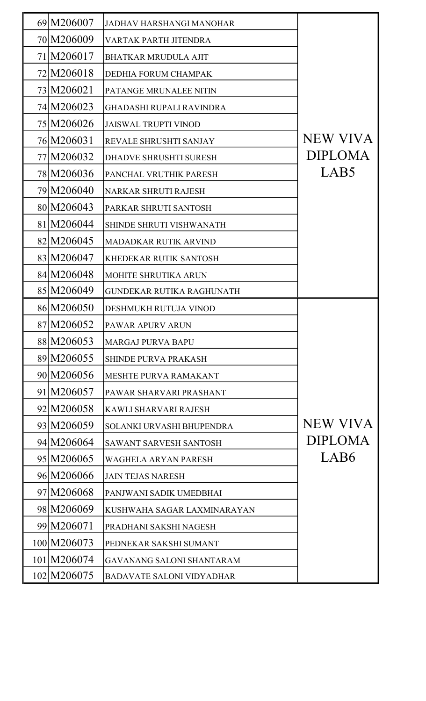| 69 M206007  | <b>JADHAV HARSHANGI MANOHAR</b>  |                  |
|-------------|----------------------------------|------------------|
| 70 M206009  | <b>VARTAK PARTH JITENDRA</b>     |                  |
| 71 M206017  | <b>BHATKAR MRUDULA AJIT</b>      |                  |
| 72 M206018  | DEDHIA FORUM CHAMPAK             |                  |
| 73 M206021  | PATANGE MRUNALEE NITIN           |                  |
| 74 M206023  | <b>GHADASHI RUPALI RAVINDRA</b>  |                  |
| 75 M206026  | <b>JAISWAL TRUPTI VINOD</b>      |                  |
| 76 M206031  | REVALE SHRUSHTI SANJAY           | <b>NEW VIVA</b>  |
| 77 M206032  | <b>DHADVE SHRUSHTI SURESH</b>    | <b>DIPLOMA</b>   |
| 78 M206036  | PANCHAL VRUTHIK PARESH           | LAB <sub>5</sub> |
| 79 M206040  | <b>NARKAR SHRUTI RAJESH</b>      |                  |
| 80 M206043  | PARKAR SHRUTI SANTOSH            |                  |
| 81 M206044  | SHINDE SHRUTI VISHWANATH         |                  |
| 82 M206045  | <b>MADADKAR RUTIK ARVIND</b>     |                  |
| 83 M206047  | KHEDEKAR RUTIK SANTOSH           |                  |
| 84 M206048  | MOHITE SHRUTIKA ARUN             |                  |
| 85 M206049  | <b>GUNDEKAR RUTIKA RAGHUNATH</b> |                  |
| 86 M206050  | DESHMUKH RUTUJA VINOD            |                  |
| 87 M206052  | PAWAR APURV ARUN                 |                  |
| 88 M206053  | <b>MARGAJ PURVA BAPU</b>         |                  |
| 89 M206055  | <b>SHINDE PURVA PRAKASH</b>      |                  |
| 90 M206056  | <b>MESHTE PURVA RAMAKANT</b>     |                  |
| 91 M206057  | PAWAR SHARVARI PRASHANT          |                  |
| 92 M206058  | KAWLI SHARVARI RAJESH            |                  |
| 93 M206059  | SOLANKI URVASHI BHUPENDRA        | NEW VIVA         |
| 94 M206064  | <b>SAWANT SARVESH SANTOSH</b>    | <b>DIPLOMA</b>   |
| 95 M206065  | <b>WAGHELA ARYAN PARESH</b>      | LAB6             |
| 96 M206066  | <b>JAIN TEJAS NARESH</b>         |                  |
| 97 M206068  | PANJWANI SADIK UMEDBHAI          |                  |
| 98 M206069  | KUSHWAHA SAGAR LAXMINARAYAN      |                  |
| 99 M206071  | PRADHANI SAKSHI NAGESH           |                  |
| 100 M206073 | PEDNEKAR SAKSHI SUMANT           |                  |
| 101 M206074 | <b>GAVANANG SALONI SHANTARAM</b> |                  |
| 102 M206075 | <b>BADAVATE SALONI VIDYADHAR</b> |                  |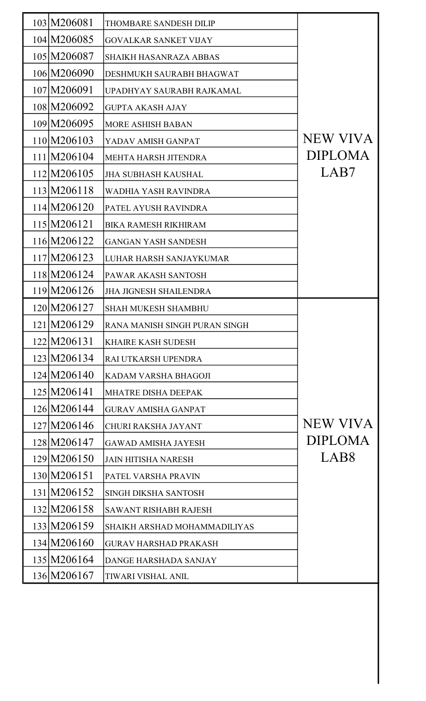| 103 M206081 | <b>THOMBARE SANDESH DILIP</b>       |                  |
|-------------|-------------------------------------|------------------|
| 104 M206085 | <b>GOVALKAR SANKET VIJAY</b>        |                  |
| 105 M206087 | <b>SHAIKH HASANRAZA ABBAS</b>       |                  |
| 106 M206090 | <b>DESHMUKH SAURABH BHAGWAT</b>     |                  |
| 107 M206091 | UPADHYAY SAURABH RAJKAMAL           |                  |
| 108 M206092 | <b>GUPTA AKASH AJAY</b>             |                  |
| 109 M206095 | <b>MORE ASHISH BABAN</b>            |                  |
| 110 M206103 | YADAV AMISH GANPAT                  | <b>NEW VIVA</b>  |
| 111 M206104 | <b>MEHTA HARSH JITENDRA</b>         | <b>DIPLOMA</b>   |
| 112M206105  | <b>JHA SUBHASH KAUSHAL</b>          | LAB7             |
| 113 M206118 | <b>WADHIA YASH RAVINDRA</b>         |                  |
| 114 M206120 | PATEL AYUSH RAVINDRA                |                  |
| 115 M206121 | <b>BIKA RAMESH RIKHIRAM</b>         |                  |
| 116 M206122 | <b>GANGAN YASH SANDESH</b>          |                  |
| 117 M206123 | LUHAR HARSH SANJAYKUMAR             |                  |
| 118 M206124 | PAWAR AKASH SANTOSH                 |                  |
| 119 M206126 | <b>JHA JIGNESH SHAILENDRA</b>       |                  |
| 120 M206127 | <b>SHAH MUKESH SHAMBHU</b>          |                  |
| 121 M206129 | RANA MANISH SINGH PURAN SINGH       |                  |
| 122 M206131 | <b>KHAIRE KASH SUDESH</b>           |                  |
| 123 M206134 | RAI UTKARSH UPENDRA                 |                  |
| 124 M206140 | KADAM VARSHA BHAGOJI                |                  |
| 125 M206141 | <b>MHATRE DISHA DEEPAK</b>          |                  |
| 126 M206144 | <b>GURAV AMISHA GANPAT</b>          |                  |
| 127 M206146 | CHURI RAKSHA JAYANT                 | NEW VIVA         |
| 128 M206147 | <b>GAWAD AMISHA JAYESH</b>          | <b>DIPLOMA</b>   |
| 129 M206150 | <b>JAIN HITISHA NARESH</b>          | LAB <sub>8</sub> |
| 130 M206151 | PATEL VARSHA PRAVIN                 |                  |
| 131 M206152 | <b>SINGH DIKSHA SANTOSH</b>         |                  |
| 132 M206158 | <b>SAWANT RISHABH RAJESH</b>        |                  |
| 133 M206159 | <b>SHAIKH ARSHAD MOHAMMADILIYAS</b> |                  |
| 134 M206160 | <b>GURAV HARSHAD PRAKASH</b>        |                  |
| 135 M206164 | <b>DANGE HARSHADA SANJAY</b>        |                  |
| 136 M206167 | <b>TIWARI VISHAL ANIL</b>           |                  |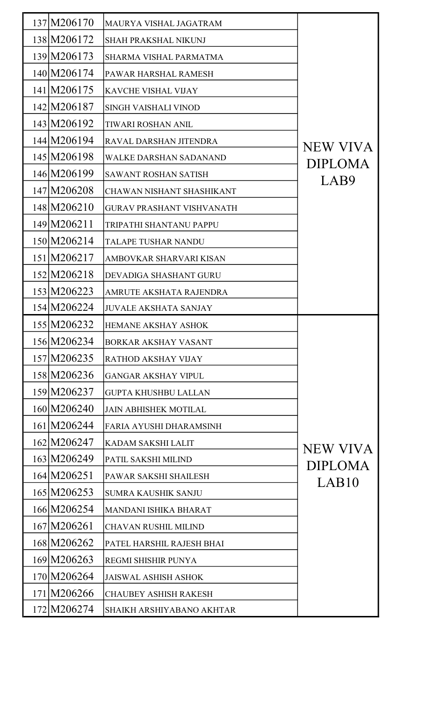| 137 M206170 | MAURYA VISHAL JAGATRAM           |                 |
|-------------|----------------------------------|-----------------|
| 138 M206172 | <b>SHAH PRAKSHAL NIKUNJ</b>      |                 |
| 139 M206173 | SHARMA VISHAL PARMATMA           |                 |
| 140 M206174 | PAWAR HARSHAL RAMESH             |                 |
| 141 M206175 | <b>KAVCHE VISHAL VIJAY</b>       |                 |
| 142 M206187 | <b>SINGH VAISHALI VINOD</b>      |                 |
| 143 M206192 | <b>TIWARI ROSHAN ANIL</b>        |                 |
| 144 M206194 | RAVAL DARSHAN JITENDRA           | <b>NEW VIVA</b> |
| 145 M206198 | <b>WALKE DARSHAN SADANAND</b>    | <b>DIPLOMA</b>  |
| 146 M206199 | <b>SAWANT ROSHAN SATISH</b>      | LAB9            |
| 147 M206208 | <b>CHAWAN NISHANT SHASHIKANT</b> |                 |
| 148 M206210 | <b>GURAV PRASHANT VISHVANATH</b> |                 |
| 149 M206211 | TRIPATHI SHANTANU PAPPU          |                 |
| 150 M206214 | <b>TALAPE TUSHAR NANDU</b>       |                 |
| 151 M206217 | AMBOVKAR SHARVARI KISAN          |                 |
| 152 M206218 | DEVADIGA SHASHANT GURU           |                 |
| 153 M206223 | AMRUTE AKSHATA RAJENDRA          |                 |
| 154 M206224 | <b>JUVALE AKSHATA SANJAY</b>     |                 |
|             |                                  |                 |
| 155 M206232 | <b>HEMANE AKSHAY ASHOK</b>       |                 |
| 156 M206234 | <b>BORKAR AKSHAY VASANT</b>      |                 |
| 157 M206235 | <b>RATHOD AKSHAY VIJAY</b>       |                 |
| 158 M206236 | <b>GANGAR AKSHAY VIPUL</b>       |                 |
| 159 M206237 | <b>GUPTA KHUSHBU LALLAN</b>      |                 |
| 160 M206240 | <b>JAIN ABHISHEK MOTILAL</b>     |                 |
| 161 M206244 | FARIA AYUSHI DHARAMSINH          |                 |
| 162 M206247 | <b>KADAM SAKSHI LALIT</b>        |                 |
| 163 M206249 | PATIL SAKSHI MILIND              | <b>NEW VIVA</b> |
| 164 M206251 | PAWAR SAKSHI SHAILESH            | <b>DIPLOMA</b>  |
| 165 M206253 | <b>SUMRA KAUSHIK SANJU</b>       | LAB10           |
| 166 M206254 | <b>MANDANI ISHIKA BHARAT</b>     |                 |
| 167 M206261 | <b>CHAVAN RUSHIL MILIND</b>      |                 |
| 168 M206262 | PATEL HARSHIL RAJESH BHAI        |                 |
| 169 M206263 | REGMI SHISHIR PUNYA              |                 |
| 170 M206264 | <b>JAISWAL ASHISH ASHOK</b>      |                 |
| 171 M206266 | <b>CHAUBEY ASHISH RAKESH</b>     |                 |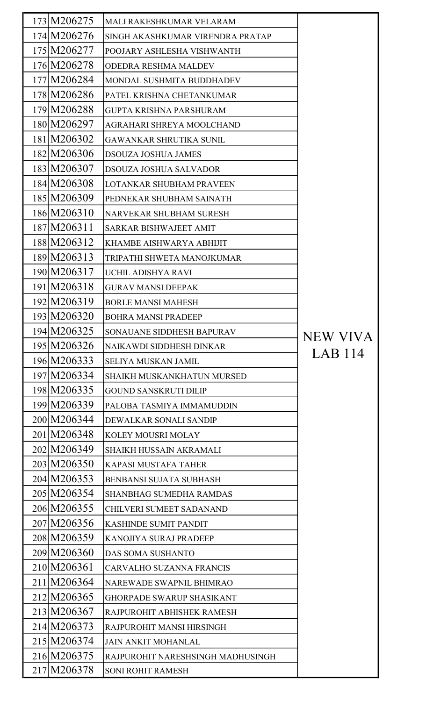| 173 M206275 | <b>MALI RAKESHKUMAR VELARAM</b>   |          |
|-------------|-----------------------------------|----------|
| 174 M206276 | SINGH AKASHKUMAR VIRENDRA PRATAP  |          |
| 175 M206277 | POOJARY ASHLESHA VISHWANTH        |          |
| 176 M206278 | <b>ODEDRA RESHMA MALDEV</b>       |          |
| 177 M206284 | MONDAL SUSHMITA BUDDHADEV         |          |
| 178 M206286 | PATEL KRISHNA CHETANKUMAR         |          |
| 179 M206288 | <b>GUPTA KRISHNA PARSHURAM</b>    |          |
| 180 M206297 | AGRAHARI SHREYA MOOLCHAND         |          |
| 181 M206302 | <b>GAWANKAR SHRUTIKA SUNIL</b>    |          |
| 182 M206306 | <b>DSOUZA JOSHUA JAMES</b>        |          |
| 183 M206307 | <b>DSOUZA JOSHUA SALVADOR</b>     |          |
| 184 M206308 | <b>LOTANKAR SHUBHAM PRAVEEN</b>   |          |
| 185 M206309 | PEDNEKAR SHUBHAM SAINATH          |          |
| 186 M206310 | NARVEKAR SHUBHAM SURESH           |          |
| 187 M206311 | <b>SARKAR BISHWAJEET AMIT</b>     |          |
| 188 M206312 | KHAMBE AISHWARYA ABHIJIT          |          |
| 189 M206313 | TRIPATHI SHWETA MANOJKUMAR        |          |
| 190 M206317 | UCHIL ADISHYA RAVI                |          |
| 191 M206318 | <b>GURAV MANSI DEEPAK</b>         |          |
| 192 M206319 | <b>BORLE MANSI MAHESH</b>         |          |
| 193 M206320 | <b>BOHRA MANSI PRADEEP</b>        |          |
| 194 M206325 | <b>SONAUANE SIDDHESH BAPURAV</b>  | NEW VIVA |
| 195 M206326 | NAIKAWDI SIDDHESH DINKAR          |          |
| 196 M206333 | <b>SELIYA MUSKAN JAMIL</b>        | LAB 114  |
| 197 M206334 | <b>SHAIKH MUSKANKHATUN MURSED</b> |          |
| 198 M206335 | <b>GOUND SANSKRUTI DILIP</b>      |          |
| 199 M206339 | PALOBA TASMIYA IMMAMUDDIN         |          |
| 200 M206344 | DEWALKAR SONALI SANDIP            |          |
| 201 M206348 | <b>KOLEY MOUSRI MOLAY</b>         |          |
| 202 M206349 | <b>SHAIKH HUSSAIN AKRAMALI</b>    |          |
| 203 M206350 | <b>KAPASI MUSTAFA TAHER</b>       |          |
| 204 M206353 | <b>BENBANSI SUJATA SUBHASH</b>    |          |
| 205 M206354 | <b>SHANBHAG SUMEDHA RAMDAS</b>    |          |
| 206 M206355 | CHILVERI SUMEET SADANAND          |          |
| 207 M206356 | <b>KASHINDE SUMIT PANDIT</b>      |          |
| 208 M206359 | <b>KANOJIYA SURAJ PRADEEP</b>     |          |
| 209 M206360 | <b>DAS SOMA SUSHANTO</b>          |          |
| 210 M206361 | <b>CARVALHO SUZANNA FRANCIS</b>   |          |
| 211 M206364 | NAREWADE SWAPNIL BHIMRAO          |          |
| 212 M206365 | <b>GHORPADE SWARUP SHASIKANT</b>  |          |
| 213 M206367 | RAJPUROHIT ABHISHEK RAMESH        |          |
| 214 M206373 | RAJPUROHIT MANSI HIRSINGH         |          |
| 215 M206374 | <b>JAIN ANKIT MOHANLAL</b>        |          |
| 216 M206375 | RAJPUROHIT NARESHSINGH MADHUSINGH |          |
| 217 M206378 | <b>SONI ROHIT RAMESH</b>          |          |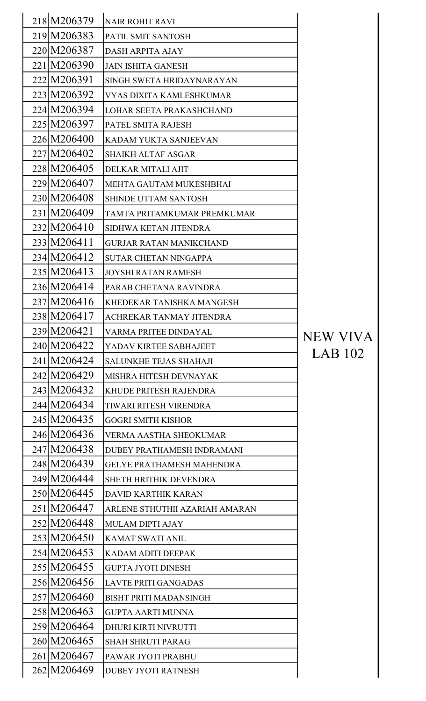| 218 M206379                | <b>NAIR ROHIT RAVI</b>           |          |
|----------------------------|----------------------------------|----------|
| 219 M206383                | PATIL SMIT SANTOSH               |          |
| 220 M206387                | DASH ARPITA AJAY                 |          |
| 221 M206390                | <b>JAIN ISHITA GANESH</b>        |          |
| 222 M206391                | <b>SINGH SWETA HRIDAYNARAYAN</b> |          |
| 223 M206392                | <b>VYAS DIXITA KAMLESHKUMAR</b>  |          |
| 224 M206394                | LOHAR SEETA PRAKASHCHAND         |          |
| 225 M206397                | PATEL SMITA RAJESH               |          |
| 226 M206400                | <b>KADAM YUKTA SANJEEVAN</b>     |          |
| 227 M206402                | <b>SHAIKH ALTAF ASGAR</b>        |          |
| 228 M 206405               | DELKAR MITALI AJIT               |          |
| 229 M206407                | MEHTA GAUTAM MUKESHBHAI          |          |
| 230 M206408                | <b>SHINDE UTTAM SANTOSH</b>      |          |
| 231 M206409                | TAMTA PRITAMKUMAR PREMKUMAR      |          |
| 232 M206410                | <b>SIDHWA KETAN JITENDRA</b>     |          |
| 233 M206411                | <b>GURJAR RATAN MANIKCHAND</b>   |          |
| 234 M206412                | <b>SUTAR CHETAN NINGAPPA</b>     |          |
| 235 M206413                | <b>JOYSHI RATAN RAMESH</b>       |          |
| 236 M206414                | PARAB CHETANA RAVINDRA           |          |
| 237 M206416                | KHEDEKAR TANISHKA MANGESH        |          |
| 238 M206417                | ACHREKAR TANMAY JITENDRA         |          |
| 239 M206421                | <b>VARMA PRITEE DINDAYAL</b>     | NEW VIVA |
| 240 M206422                | YADAV KIRTEE SABHAJEET           | LAB 102  |
| 241 M206424                | <b>SALUNKHE TEJAS SHAHAJI</b>    |          |
| 242 M206429                | MISHRA HITESH DEVNAYAK           |          |
| 243 M206432                | <b>KHUDE PRITESH RAJENDRA</b>    |          |
| 244 M 2064 34              | TIWARI RITESH VIRENDRA           |          |
| 245 M206435                | <b>GOGRI SMITH KISHOR</b>        |          |
| 246 M206436                | <b>VERMA AASTHA SHEOKUMAR</b>    |          |
| 247 M206438                | DUBEY PRATHAMESH INDRAMANI       |          |
| 248 M206439                | <b>GELYE PRATHAMESH MAHENDRA</b> |          |
| 249 M206444                | <b>SHETH HRITHIK DEVENDRA</b>    |          |
| 250 M206445                | <b>DAVID KARTHIK KARAN</b>       |          |
| 251 M206447                | ARLENE STHUTHII AZARIAH AMARAN   |          |
| 252 M206448                | <b>MULAM DIPTI AJAY</b>          |          |
| 253 M206450                | <b>KAMAT SWATI ANIL</b>          |          |
| 254 M206453                | KADAM ADITI DEEPAK               |          |
| 255 M206455                | <b>GUPTA JYOTI DINESH</b>        |          |
| 256 M206456                | <b>LAVTE PRITI GANGADAS</b>      |          |
| 257 M206460                | <b>BISHT PRITI MADANSINGH</b>    |          |
| 258 M206463                | <b>GUPTA AARTI MUNNA</b>         |          |
| 259 M206464                | DHURI KIRTI NIVRUTTI             |          |
|                            |                                  |          |
| 260 M206465                | <b>SHAH SHRUTI PARAG</b>         |          |
| 261 M206467<br>262 M206469 | PAWAR JYOTI PRABHU               |          |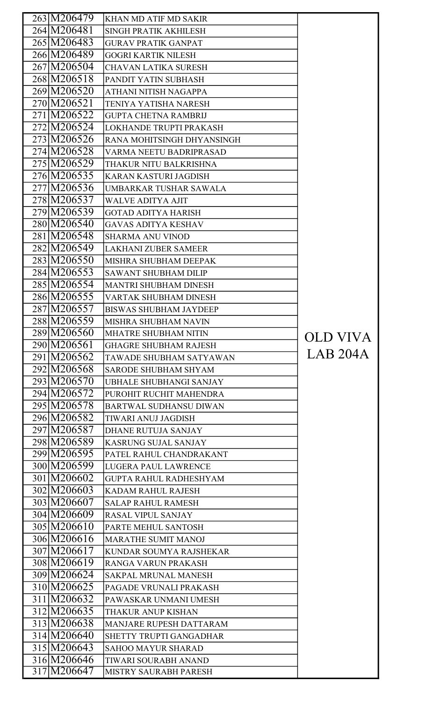| 263 M206479                | <b>KHAN MD ATIF MD SAKIR</b>                                |          |
|----------------------------|-------------------------------------------------------------|----------|
| 264 M206481                | <b>SINGH PRATIK AKHILESH</b>                                |          |
| 265 M206483                | <b>GURAV PRATIK GANPAT</b>                                  |          |
| 266 M206489                | <b>GOGRI KARTIK NILESH</b>                                  |          |
| 267 M206504                | <b>CHAVAN LATIKA SURESH</b>                                 |          |
| 268 M206518                | PANDIT YATIN SUBHASH                                        |          |
| 269 M206520                | ATHANI NITISH NAGAPPA                                       |          |
| 270 M206521                | <b>TENIYA YATISHA NARESH</b>                                |          |
| 271 M206522                | <b>GUPTA CHETNA RAMBRIJ</b>                                 |          |
| 272 M206524                | LOKHANDE TRUPTI PRAKASH                                     |          |
| 273 M206526                | RANA MOHITSINGH DHYANSINGH                                  |          |
| 274 M206528                | <b>VARMA NEETU BADRIPRASAD</b>                              |          |
| 275 M206529                | THAKUR NITU BALKRISHNA                                      |          |
| 276 M206535                | <b>KARAN KASTURI JAGDISH</b>                                |          |
| 277 M206536                | UMBARKAR TUSHAR SAWALA                                      |          |
| 278 M206537                | <b>WALVE ADITYA AJIT</b>                                    |          |
| 279 M206539                | <b>GOTAD ADITYA HARISH</b>                                  |          |
| 280 M206540                | <b>GAVAS ADITYA KESHAV</b>                                  |          |
| 281 M206548                | <b>SHARMA ANU VINOD</b>                                     |          |
| 282 M206549                | <b>LAKHANI ZUBER SAMEER</b>                                 |          |
| 283 M206550                |                                                             |          |
| 284 M206553                | MISHRA SHUBHAM DEEPAK                                       |          |
| 285 M206554                | <b>SAWANT SHUBHAM DILIP</b><br><b>MANTRI SHUBHAM DINESH</b> |          |
| 286 M206555                |                                                             |          |
| 287 M206557                | <b>VARTAK SHUBHAM DINESH</b>                                |          |
| 288 M206559                | <b>BISWAS SHUBHAM JAYDEEP</b>                               |          |
| 289 M206560                | MISHRA SHUBHAM NAVIN                                        |          |
| 290 M206561                | MHATRE SHUBHAM NITIN                                        | OLD VIVA |
|                            | <b>GHAGRE SHUBHAM RAJESH</b>                                | LAB 204A |
|                            |                                                             |          |
| 291 M206562                | TAWADE SHUBHAM SATYAWAN                                     |          |
| 292 M206568                | <b>SARODE SHUBHAM SHYAM</b>                                 |          |
| 293 M206570                | <b>UBHALE SHUBHANGI SANJAY</b>                              |          |
| 294 M206572                | PUROHIT RUCHIT MAHENDRA                                     |          |
| 295 M206578                | <b>BARTWAL SUDHANSU DIWAN</b>                               |          |
| 296 M206582                | TIWARI ANUJ JAGDISH                                         |          |
| 297 M206587                | <b>DHANE RUTUJA SANJAY</b>                                  |          |
| 298 M206589                | <b>KASRUNG SUJAL SANJAY</b>                                 |          |
| 299 M206595                | PATEL RAHUL CHANDRAKANT                                     |          |
| 300 M206599                | LUGERA PAUL LAWRENCE                                        |          |
| 301 M206602                | <b>GUPTA RAHUL RADHESHYAM</b>                               |          |
| 302 M206603                | <b>KADAM RAHUL RAJESH</b>                                   |          |
| 303 M206607                | <b>SALAP RAHUL RAMESH</b>                                   |          |
| 304 M206609                | <b>RASAL VIPUL SANJAY</b>                                   |          |
| 305 M206610                | PARTE MEHUL SANTOSH                                         |          |
| 306 M206616                | <b>MARATHE SUMIT MANOJ</b>                                  |          |
| 307 M206617                | KUNDAR SOUMYA RAJSHEKAR                                     |          |
| 308 M206619                | <b>RANGA VARUN PRAKASH</b>                                  |          |
| 309 M206624                | <b>SAKPAL MRUNAL MANESH</b>                                 |          |
| 310 M206625                | PAGADE VRUNALI PRAKASH                                      |          |
| 311 M206632                | PAWASKAR UNMANI UMESH                                       |          |
| 312 M206635                | <b>THAKUR ANUP KISHAN</b>                                   |          |
| 313 M206638                | MANJARE RUPESH DATTARAM                                     |          |
| 314 M206640                | <b>SHETTY TRUPTI GANGADHAR</b>                              |          |
| 315 M206643                | <b>SAHOO MAYUR SHARAD</b>                                   |          |
| 316 M206646<br>317 M206647 | TIWARI SOURABH ANAND<br><b>MISTRY SAURABH PARESH</b>        |          |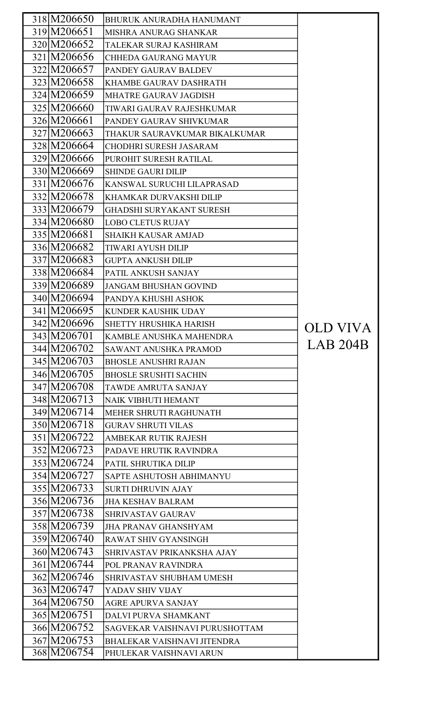| 318 M206650 | <b>BHURUK ANURADHA HANUMANT</b> |                 |
|-------------|---------------------------------|-----------------|
| 319 M206651 | MISHRA ANURAG SHANKAR           |                 |
| 320 M206652 | TALEKAR SURAJ KASHIRAM          |                 |
| 321 M206656 | <b>CHHEDA GAURANG MAYUR</b>     |                 |
| 322 M206657 | PANDEY GAURAV BALDEV            |                 |
| 323 M206658 | KHAMBE GAURAV DASHRATH          |                 |
| 324 M206659 | MHATRE GAURAV JAGDISH           |                 |
| 325 M206660 | TIWARI GAURAV RAJESHKUMAR       |                 |
| 326 M206661 | PANDEY GAURAV SHIVKUMAR         |                 |
| 327 M206663 | THAKUR SAURAVKUMAR BIKALKUMAR   |                 |
| 328 M206664 | <b>CHODHRI SURESH JASARAM</b>   |                 |
| 329 M206666 | PUROHIT SURESH RATILAL          |                 |
| 330 M206669 | <b>SHINDE GAURI DILIP</b>       |                 |
| 331 M206676 | KANSWAL SURUCHI LILAPRASAD      |                 |
| 332 M206678 | KHAMKAR DURVAKSHI DILIP         |                 |
| 333 M206679 | <b>GHADSHI SURYAKANT SURESH</b> |                 |
| 334 M206680 | <b>LOBO CLETUS RUJAY</b>        |                 |
| 335 M206681 | <b>SHAIKH KAUSAR AMJAD</b>      |                 |
| 336 M206682 | <b>TIWARI AYUSH DILIP</b>       |                 |
| 337 M206683 | <b>GUPTA ANKUSH DILIP</b>       |                 |
| 338 M206684 | PATIL ANKUSH SANJAY             |                 |
| 339 M206689 | <b>JANGAM BHUSHAN GOVIND</b>    |                 |
| 340 M206694 | PANDYA KHUSHI ASHOK             |                 |
| 341 M206695 | <b>KUNDER KAUSHIK UDAY</b>      |                 |
| 342 M206696 | SHETTY HRUSHIKA HARISH          | <b>OLD VIVA</b> |
| 343 M206701 | KAMBLE ANUSHKA MAHENDRA         |                 |
| 344 M206702 | <b>SAWANT ANUSHKA PRAMOD</b>    | LAB 204B        |
| 345 M206703 | <b>BHOSLE ANUSHRI RAJAN</b>     |                 |
| 346 M206705 | <b>BHOSLE SRUSHTI SACHIN</b>    |                 |
| 347 M206708 | <b>TAWDE AMRUTA SANJAY</b>      |                 |
| 348 M206713 | <b>NAIK VIBHUTI HEMANT</b>      |                 |
| 349 M206714 | MEHER SHRUTI RAGHUNATH          |                 |
| 350 M206718 | <b>GURAV SHRUTI VILAS</b>       |                 |
| 351 M206722 | AMBEKAR RUTIK RAJESH            |                 |
| 352 M206723 | PADAVE HRUTIK RAVINDRA          |                 |
| 353 M206724 | PATIL SHRUTIKA DILIP            |                 |
| 354 M206727 | SAPTE ASHUTOSH ABHIMANYU        |                 |
| 355 M206733 | <b>SURTI DHRUVIN AJAY</b>       |                 |
| 356 M206736 | <b>JHA KESHAV BALRAM</b>        |                 |
| 357 M206738 | SHRIVASTAV GAURAV               |                 |
| 358 M206739 | <b>JHA PRANAV GHANSHYAM</b>     |                 |
| 359 M206740 | RAWAT SHIV GYANSINGH            |                 |
| 360 M206743 | SHRIVASTAV PRIKANKSHA AJAY      |                 |
| 361 M206744 | POL PRANAV RAVINDRA             |                 |
| 362 M206746 | SHRIVASTAV SHUBHAM UMESH        |                 |
| 363 M206747 | YADAV SHIV VIJAY                |                 |
| 364 M206750 | <b>AGRE APURVA SANJAY</b>       |                 |
| 365 M206751 | DALVI PURVA SHAMKANT            |                 |
| 366 M206752 | SAGVEKAR VAISHNAVI PURUSHOTTAM  |                 |
| 367 M206753 | BHALEKAR VAISHNAVI JITENDRA     |                 |
| 368 M206754 | PHULEKAR VAISHNAVI ARUN         |                 |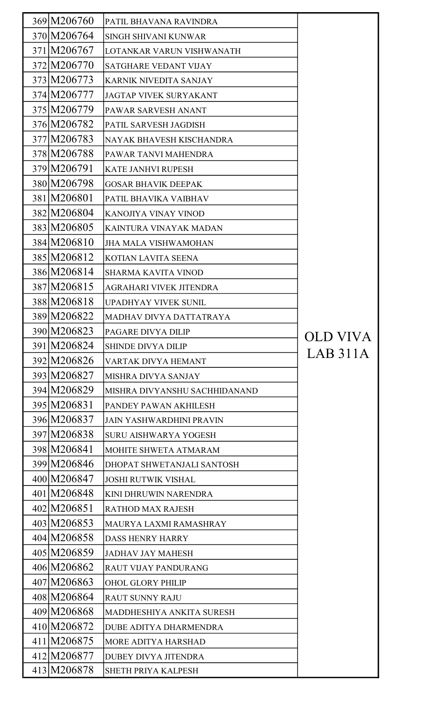| 369 M206760  | PATIL BHAVANA RAVINDRA          |          |
|--------------|---------------------------------|----------|
| 370 M206764  | <b>SINGH SHIVANI KUNWAR</b>     |          |
| 371 M206767  | LOTANKAR VARUN VISHWANATH       |          |
| 372 M206770  | <b>SATGHARE VEDANT VIJAY</b>    |          |
| 373 M206773  | <b>KARNIK NIVEDITA SANJAY</b>   |          |
| 374 M 206777 | <b>JAGTAP VIVEK SURYAKANT</b>   |          |
| 375 M206779  | PAWAR SARVESH ANANT             |          |
| 376 M206782  | PATIL SARVESH JAGDISH           |          |
| 377 M206783  | NAYAK BHAVESH KISCHANDRA        |          |
| 378 M206788  | PAWAR TANVI MAHENDRA            |          |
| 379 M206791  | <b>KATE JANHVI RUPESH</b>       |          |
| 380 M206798  | <b>GOSAR BHAVIK DEEPAK</b>      |          |
| 381 M206801  | PATIL BHAVIKA VAIBHAV           |          |
| 382 M206804  | KANOJIYA VINAY VINOD            |          |
| 383 M206805  | KAINTURA VINAYAK MADAN          |          |
| 384 M206810  | <b>JHA MALA VISHWAMOHAN</b>     |          |
| 385 M206812  | KOTIAN LAVITA SEENA             |          |
| 386 M206814  | <b>SHARMA KAVITA VINOD</b>      |          |
| 387 M206815  | AGRAHARI VIVEK JITENDRA         |          |
| 388 M206818  | <b>UPADHYAY VIVEK SUNIL</b>     |          |
| 389 M206822  | MADHAV DIVYA DATTATRAYA         |          |
| 390 M206823  | <b>PAGARE DIVYA DILIP</b>       | OLD VIVA |
| 391 M206824  | <b>SHINDE DIVYA DILIP</b>       |          |
| 392 M206826  | VARTAK DIVYA HEMANT             | LAB 311A |
| 393 M206827  | <b>MISHRA DIVYA SANJAY</b>      |          |
| 394 M206829  | MISHRA DIVYANSHU SACHHIDANAND   |          |
| 395 M206831  | PANDEY PAWAN AKHILESH           |          |
| 396 M206837  | <b>JAIN YASHWARDHINI PRAVIN</b> |          |
| 397 M206838  | <b>SURU AISHWARYA YOGESH</b>    |          |
| 398 M206841  | MOHITE SHWETA ATMARAM           |          |
| 399 M206846  | DHOPAT SHWETANJALI SANTOSH      |          |
| 400 M206847  | <b>JOSHI RUTWIK VISHAL</b>      |          |
| 401 M206848  | KINI DHRUWIN NARENDRA           |          |
| 402 M206851  | <b>RATHOD MAX RAJESH</b>        |          |
| 403 M206853  | MAURYA LAXMI RAMASHRAY          |          |
| 404 M206858  | <b>DASS HENRY HARRY</b>         |          |
| 405 M206859  | <b>JADHAV JAY MAHESH</b>        |          |
| 406 M206862  | <b>RAUT VIJAY PANDURANG</b>     |          |
| 407 M206863  | <b>OHOL GLORY PHILIP</b>        |          |
| 408 M206864  | <b>RAUT SUNNY RAJU</b>          |          |
| 409 M206868  | MADDHESHIYA ANKITA SURESH       |          |
| 410 M206872  | DUBE ADITYA DHARMENDRA          |          |
| 411 M206875  | <b>MORE ADITYA HARSHAD</b>      |          |
| 412 M206877  | <b>DUBEY DIVYA JITENDRA</b>     |          |
| 413 M206878  | SHETH PRIYA KALPESH             |          |